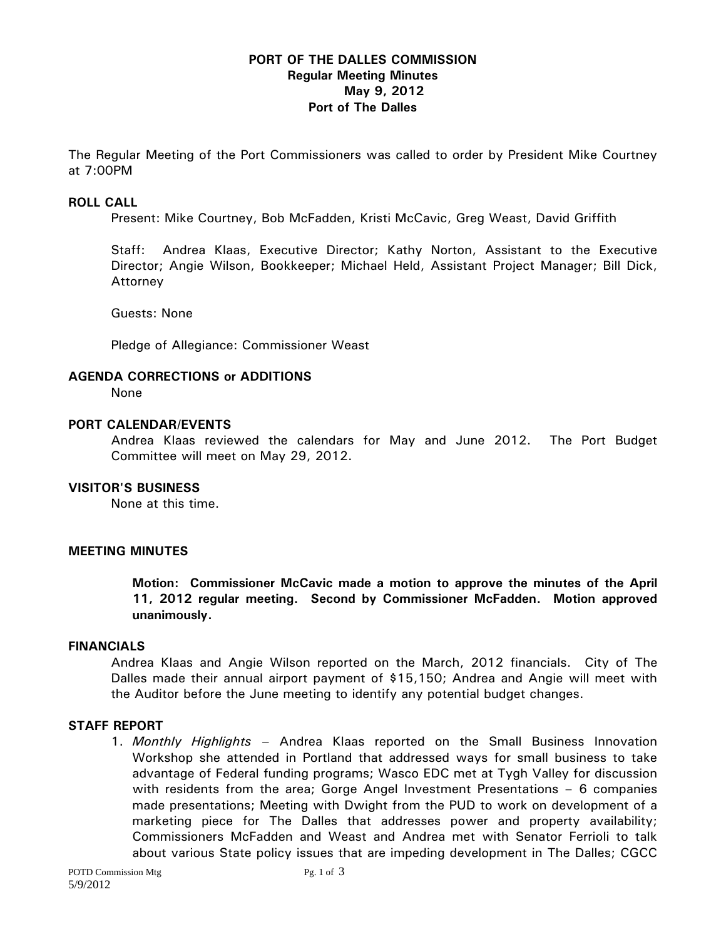# **PORT OF THE DALLES COMMISSION Regular Meeting Minutes May 9, 2012 Port of The Dalles**

The Regular Meeting of the Port Commissioners was called to order by President Mike Courtney at 7:00PM

### **ROLL CALL**

Present: Mike Courtney, Bob McFadden, Kristi McCavic, Greg Weast, David Griffith

Staff: Andrea Klaas, Executive Director; Kathy Norton, Assistant to the Executive Director; Angie Wilson, Bookkeeper; Michael Held, Assistant Project Manager; Bill Dick, Attorney

Guests: None

Pledge of Allegiance: Commissioner Weast

# **AGENDA CORRECTIONS or ADDITIONS**

None

### **PORT CALENDAR/EVENTS**

Andrea Klaas reviewed the calendars for May and June 2012. The Port Budget Committee will meet on May 29, 2012.

# **VISITOR'S BUSINESS**

None at this time.

#### **MEETING MINUTES**

**Motion: Commissioner McCavic made a motion to approve the minutes of the April 11, 2012 regular meeting. Second by Commissioner McFadden. Motion approved unanimously.** 

### **FINANCIALS**

Andrea Klaas and Angie Wilson reported on the March, 2012 financials. City of The Dalles made their annual airport payment of \$15,150; Andrea and Angie will meet with the Auditor before the June meeting to identify any potential budget changes.

#### **STAFF REPORT**

1. *Monthly Highlights –* Andrea Klaas reported on the Small Business Innovation Workshop she attended in Portland that addressed ways for small business to take advantage of Federal funding programs; Wasco EDC met at Tygh Valley for discussion with residents from the area; Gorge Angel Investment Presentations – 6 companies made presentations; Meeting with Dwight from the PUD to work on development of a marketing piece for The Dalles that addresses power and property availability; Commissioners McFadden and Weast and Andrea met with Senator Ferrioli to talk about various State policy issues that are impeding development in The Dalles; CGCC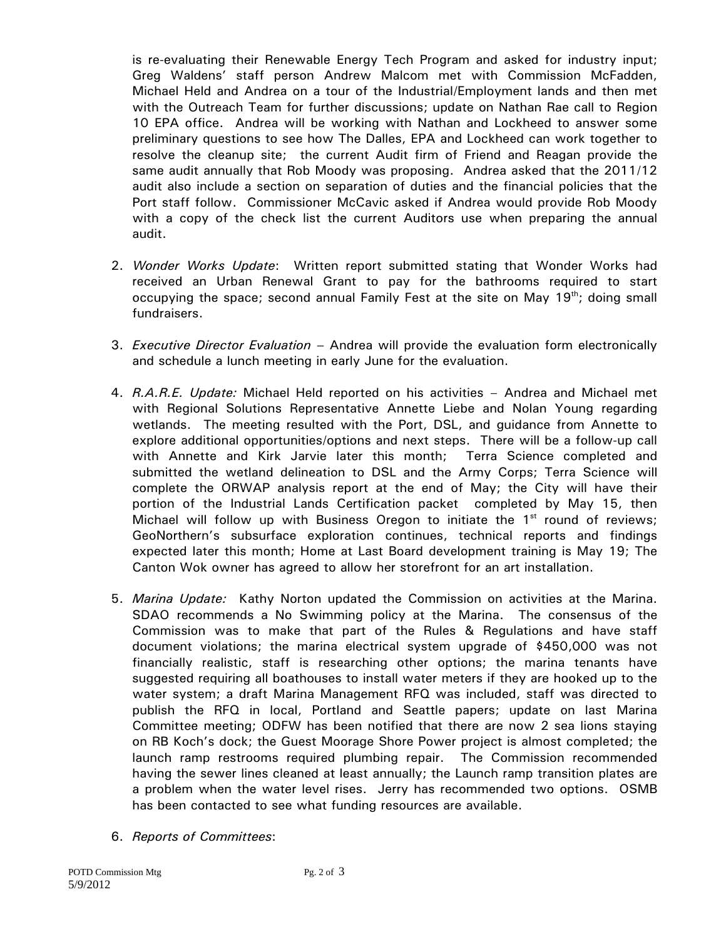is re-evaluating their Renewable Energy Tech Program and asked for industry input; Greg Waldens' staff person Andrew Malcom met with Commission McFadden, Michael Held and Andrea on a tour of the Industrial/Employment lands and then met with the Outreach Team for further discussions; update on Nathan Rae call to Region 10 EPA office. Andrea will be working with Nathan and Lockheed to answer some preliminary questions to see how The Dalles, EPA and Lockheed can work together to resolve the cleanup site; the current Audit firm of Friend and Reagan provide the same audit annually that Rob Moody was proposing. Andrea asked that the 2011/12 audit also include a section on separation of duties and the financial policies that the Port staff follow. Commissioner McCavic asked if Andrea would provide Rob Moody with a copy of the check list the current Auditors use when preparing the annual audit.

- 2. *Wonder Works Update*: Written report submitted stating that Wonder Works had received an Urban Renewal Grant to pay for the bathrooms required to start occupying the space; second annual Family Fest at the site on May  $19<sup>th</sup>$ ; doing small fundraisers.
- 3. *Executive Director Evaluation* Andrea will provide the evaluation form electronically and schedule a lunch meeting in early June for the evaluation.
- 4. *R.A.R.E. Update:* Michael Held reported on his activities Andrea and Michael met with Regional Solutions Representative Annette Liebe and Nolan Young regarding wetlands. The meeting resulted with the Port, DSL, and guidance from Annette to explore additional opportunities/options and next steps. There will be a follow-up call with Annette and Kirk Jarvie later this month; Terra Science completed and submitted the wetland delineation to DSL and the Army Corps; Terra Science will complete the ORWAP analysis report at the end of May; the City will have their portion of the Industrial Lands Certification packet completed by May 15, then Michael will follow up with Business Oregon to initiate the  $1<sup>st</sup>$  round of reviews; GeoNorthern's subsurface exploration continues, technical reports and findings expected later this month; Home at Last Board development training is May 19; The Canton Wok owner has agreed to allow her storefront for an art installation.
- 5. *Marina Update:* Kathy Norton updated the Commission on activities at the Marina. SDAO recommends a No Swimming policy at the Marina. The consensus of the Commission was to make that part of the Rules & Regulations and have staff document violations; the marina electrical system upgrade of \$450,000 was not financially realistic, staff is researching other options; the marina tenants have suggested requiring all boathouses to install water meters if they are hooked up to the water system; a draft Marina Management RFQ was included, staff was directed to publish the RFQ in local, Portland and Seattle papers; update on last Marina Committee meeting; ODFW has been notified that there are now 2 sea lions staying on RB Koch's dock; the Guest Moorage Shore Power project is almost completed; the launch ramp restrooms required plumbing repair. The Commission recommended having the sewer lines cleaned at least annually; the Launch ramp transition plates are a problem when the water level rises. Jerry has recommended two options. OSMB has been contacted to see what funding resources are available.
- 6. *Reports of Committees*: